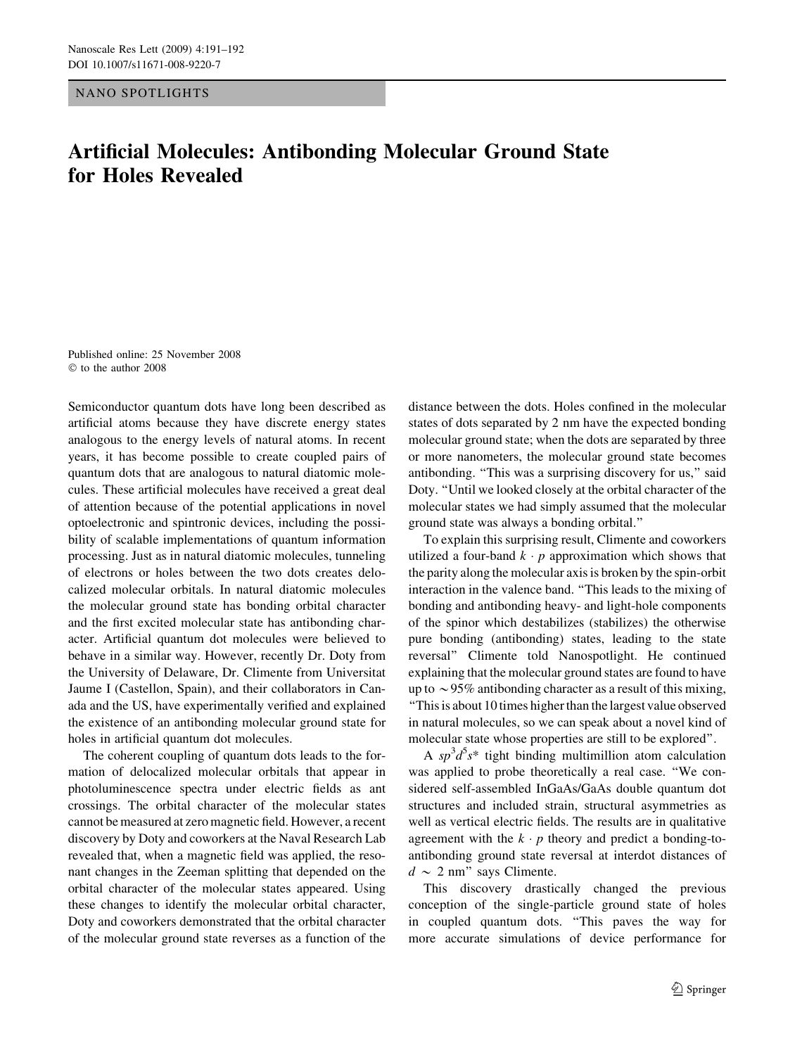NANO SPOTLIGHTS

## Artificial Molecules: Antibonding Molecular Ground State for Holes Revealed

Published online: 25 November 2008 to the author 2008

Semiconductor quantum dots have long been described as artificial atoms because they have discrete energy states analogous to the energy levels of natural atoms. In recent years, it has become possible to create coupled pairs of quantum dots that are analogous to natural diatomic molecules. These artificial molecules have received a great deal of attention because of the potential applications in novel optoelectronic and spintronic devices, including the possibility of scalable implementations of quantum information processing. Just as in natural diatomic molecules, tunneling of electrons or holes between the two dots creates delocalized molecular orbitals. In natural diatomic molecules the molecular ground state has bonding orbital character and the first excited molecular state has antibonding character. Artificial quantum dot molecules were believed to behave in a similar way. However, recently Dr. Doty from the University of Delaware, Dr. Climente from Universitat Jaume I (Castellon, Spain), and their collaborators in Canada and the US, have experimentally verified and explained the existence of an antibonding molecular ground state for holes in artificial quantum dot molecules.

The coherent coupling of quantum dots leads to the formation of delocalized molecular orbitals that appear in photoluminescence spectra under electric fields as ant crossings. The orbital character of the molecular states cannot be measured at zero magnetic field. However, a recent discovery by Doty and coworkers at the Naval Research Lab revealed that, when a magnetic field was applied, the resonant changes in the Zeeman splitting that depended on the orbital character of the molecular states appeared. Using these changes to identify the molecular orbital character, Doty and coworkers demonstrated that the orbital character of the molecular ground state reverses as a function of the distance between the dots. Holes confined in the molecular states of dots separated by 2 nm have the expected bonding molecular ground state; when the dots are separated by three or more nanometers, the molecular ground state becomes antibonding. "This was a surprising discovery for us," said Doty. ''Until we looked closely at the orbital character of the molecular states we had simply assumed that the molecular ground state was always a bonding orbital.''

To explain this surprising result, Climente and coworkers utilized a four-band  $k \cdot p$  approximation which shows that the parity along the molecular axis is broken by the spin-orbit interaction in the valence band. ''This leads to the mixing of bonding and antibonding heavy- and light-hole components of the spinor which destabilizes (stabilizes) the otherwise pure bonding (antibonding) states, leading to the state reversal'' Climente told Nanospotlight. He continued explaining that the molecular ground states are found to have up to  $\sim$  95% antibonding character as a result of this mixing, ''This is about 10 times higher than the largest value observed in natural molecules, so we can speak about a novel kind of molecular state whose properties are still to be explored''.

A  $sp^3d^5s^*$  tight binding multimillion atom calculation was applied to probe theoretically a real case. ''We considered self-assembled InGaAs/GaAs double quantum dot structures and included strain, structural asymmetries as well as vertical electric fields. The results are in qualitative agreement with the  $k \cdot p$  theory and predict a bonding-toantibonding ground state reversal at interdot distances of  $d \sim 2$  nm" says Climente.

This discovery drastically changed the previous conception of the single-particle ground state of holes in coupled quantum dots. ''This paves the way for more accurate simulations of device performance for